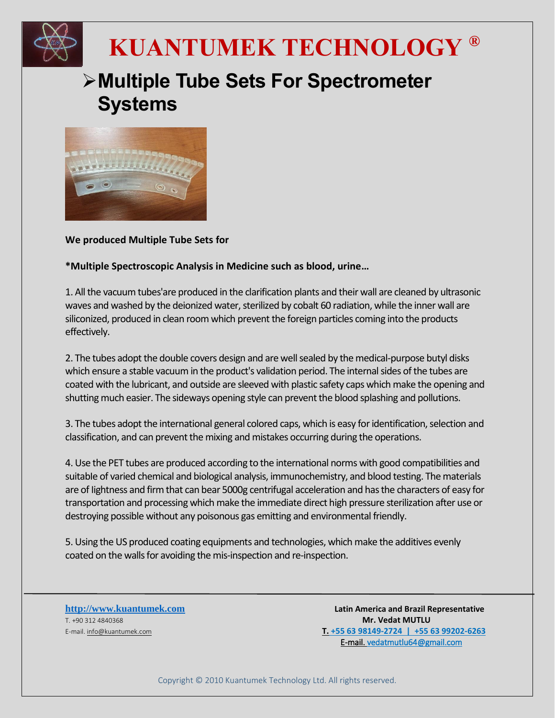

## **KUANTUMEK TECHNOLOGY ®**

## **Multiple Tube Sets For Spectrometer Systems**



**We produced Multiple Tube Sets for**

**\*Multiple Spectroscopic Analysis in Medicine such as blood, urine…**

1. All the vacuum tubes'are produced in the clarification plants and their wall are cleaned by ultrasonic waves and washed by the deionized water, sterilized by cobalt 60 radiation, while the inner wall are siliconized, produced in clean room which prevent the foreign particles coming into the products effectively.

2. The tubes adopt the double covers design and are well sealed by the medical-purpose butyl disks which ensure a stable vacuum in the product's validation period. The internal sides of the tubes are coated with the lubricant, and outside are sleeved with plastic safety caps which make the opening and shutting much easier. The sideways opening style can prevent the blood splashing and pollutions.

3. The tubes adopt the international general colored caps, which is easy for identification, selection and classification, and can prevent the mixing and mistakes occurring during the operations.

4. Use the PET tubes are produced according to the international norms with good compatibilities and suitable of varied chemical and biological analysis, immunochemistry, and blood testing. The materials are of Iightness and firm that can bear 5000g centrifugal acceleration and has the characters of easy for transportation and processing which make the immediate direct high pressure sterilization after use or destroying possible without any poisonous gas emitting and environmental friendly.

5. Using the US produced coating equipments and technologies, which make the additives evenly coated on the walls for avoiding the mis-inspection and re-inspection.

T. +90 312 4840368 **Mr. Vedat MUTLU**

**[http://www.kuantumek.com](http://www.kuantumek.com/) Latin America and Brazil Representative**  E-mail. [info@kuantumek.com](mailto:info@kuantumek.com) **T. +55 63 98149-2724 | +55 63 99202-6263** E-mail. vedatmutlu64@gmail.com

Copyright © 2010 Kuantumek Technology Ltd. All rights reserved.